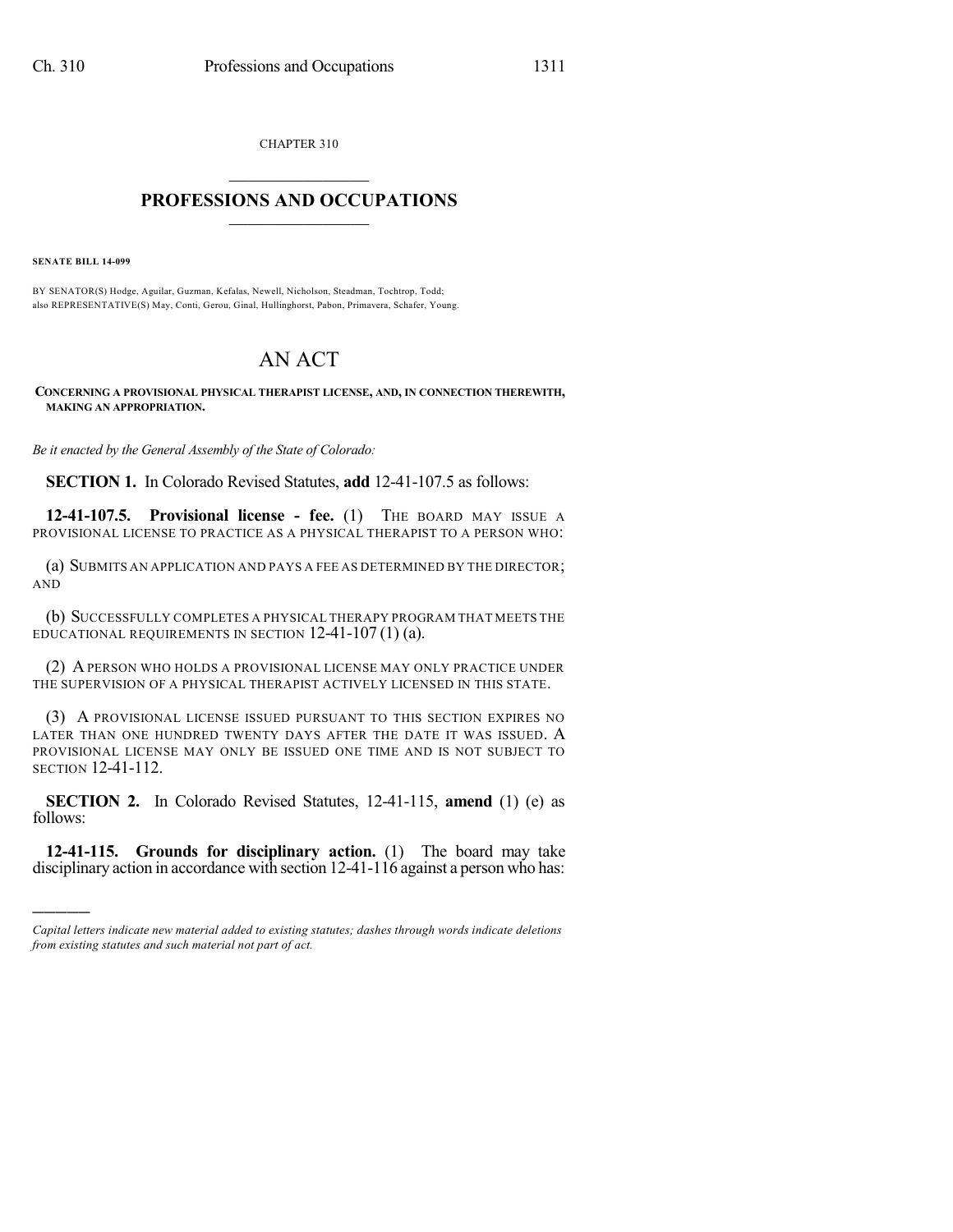CHAPTER 310  $\mathcal{L}_\text{max}$  . The set of the set of the set of the set of the set of the set of the set of the set of the set of the set of the set of the set of the set of the set of the set of the set of the set of the set of the set

## **PROFESSIONS AND OCCUPATIONS**  $\frac{1}{2}$  ,  $\frac{1}{2}$  ,  $\frac{1}{2}$  ,  $\frac{1}{2}$  ,  $\frac{1}{2}$  ,  $\frac{1}{2}$  ,  $\frac{1}{2}$

**SENATE BILL 14-099**

)))))

BY SENATOR(S) Hodge, Aguilar, Guzman, Kefalas, Newell, Nicholson, Steadman, Tochtrop, Todd; also REPRESENTATIVE(S) May, Conti, Gerou, Ginal, Hullinghorst, Pabon, Primavera, Schafer, Young.

## AN ACT

**CONCERNING A PROVISIONAL PHYSICAL THERAPIST LICENSE, AND, IN CONNECTION THEREWITH, MAKING AN APPROPRIATION.**

*Be it enacted by the General Assembly of the State of Colorado:*

**SECTION 1.** In Colorado Revised Statutes, **add** 12-41-107.5 as follows:

**12-41-107.5. Provisional license - fee.** (1) THE BOARD MAY ISSUE A PROVISIONAL LICENSE TO PRACTICE AS A PHYSICAL THERAPIST TO A PERSON WHO:

(a) SUBMITS AN APPLICATION AND PAYS A FEE AS DETERMINED BY THE DIRECTOR; AND

(b) SUCCESSFULLY COMPLETES A PHYSICAL THERAPY PROGRAM THAT MEETS THE EDUCATIONAL REQUIREMENTS IN SECTION 12-41-107 (1) (a).

(2) APERSON WHO HOLDS A PROVISIONAL LICENSE MAY ONLY PRACTICE UNDER THE SUPERVISION OF A PHYSICAL THERAPIST ACTIVELY LICENSED IN THIS STATE.

(3) A PROVISIONAL LICENSE ISSUED PURSUANT TO THIS SECTION EXPIRES NO LATER THAN ONE HUNDRED TWENTY DAYS AFTER THE DATE IT WAS ISSUED. A PROVISIONAL LICENSE MAY ONLY BE ISSUED ONE TIME AND IS NOT SUBJECT TO SECTION 12-41-112.

**SECTION 2.** In Colorado Revised Statutes, 12-41-115, **amend** (1) (e) as follows:

**12-41-115. Grounds for disciplinary action.** (1) The board may take disciplinary action in accordance with section 12-41-116 against a person who has:

*Capital letters indicate new material added to existing statutes; dashes through words indicate deletions from existing statutes and such material not part of act.*